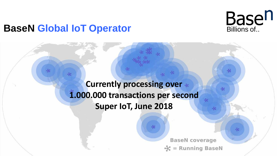# **BaseN Global IoT Operator BaseN Global IoT Operator**

**Currently processing over 1.000.000 transactions per second Super IoT, June 2018**

> **BaseN** coverage **Running BaseN**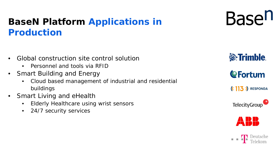## **BaseN Platform Applications in Production**

- Global construction site control solution
	- Personnel and tools via RFID
- Smart Building and Energy
	- Cloud based management of industrial and residential buildings
- Smart Living and eHealth
	- Elderly Healthcare using wrist sensors
	- 24/7 security services

**S**Trimble.

**Basen** 

**CFortum** 

 $(13)$  RESPONDA



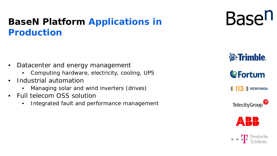## **BaseN Platform Applications in Production**

- Datacenter and energy management
	- Computing hardware, electricity, cooling, UPS
- Industrial automation
	- Managing solar and wind inverters (drives)
- Full telecom OSS solution
	- Integrated fault and performance management



**&**Trimble.

**CFortum** 

 $(13)$  RESPONDA



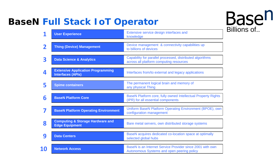## **BaseN Full Stack IoT Operator**



|    | <b>User Experience</b>                                               | Extensive service design interfaces and<br>knowledge                                                    |
|----|----------------------------------------------------------------------|---------------------------------------------------------------------------------------------------------|
|    |                                                                      |                                                                                                         |
|    | <b>Thing (Device) Management</b>                                     | Device management & connectivity capabilities up<br>to billions of devices                              |
|    | <b>Data Science &amp; Analytics</b>                                  | Capability for parallel processed, distributed algorithms<br>across all platform computing resources    |
|    | <b>Extensive Application Programming</b><br><b>Interfaces (APIs)</b> | Interfaces from/to external and legacy applications                                                     |
| 5  | <b>Spime containers</b>                                              | The permanent logical brain and memory of<br>any physical Thing                                         |
| 6  | <b>BaseN Platform Core</b>                                           | BaseN Platform core, fully owned Intellectual Property Rights<br>(IPR) for all essential components     |
|    | <b>BaseN Platform Operating Environment</b>                          | Uniform BaseN Platform Operating Environment (BPOE), own<br>configuration management                    |
| 8  | <b>Computing &amp; Storage Hardware and</b><br><b>Edge Equipment</b> | Bare metal servers, own distributed storage systems                                                     |
| 9  | <b>Data Centers</b>                                                  | BaseN acquires dedicated co-location space at optimally<br>selected global hubs                         |
| 10 | <b>Network Access</b>                                                | BaseN is an Internet Service Provider since 2001 with own<br>Autonomous Systems and open peering policy |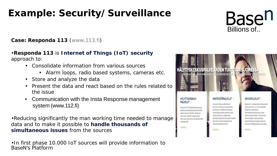## **Example: Security/Surveillance**



#### **Case: Responda 113** (www.113.fi)

#### •**Responda 113** is **Internet of Things (IoT) security** approach to:

- Consolidate information from various sources
	- Alarm loops, radio based systems, cameras etc.
- Store and analyze the data
- Present the data and react based on the rules related to the issue
- Communication with the Insta Response management system (www.112.fi)

•Reducing significantly the man working time needed to manage data and to make it possible to **handle thousands of simultaneous issues** from the sources

•In first phase 10.000 IoT sources will provide information to BaseN's Platform

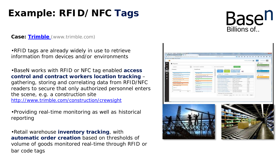## **Example: RFID/NFC Tags**



**Case: [Trimble](http://www.trimble.com/)** (www.trimble.com)

•RFID tags are already widely in use to retrieve information from devices and/or environments

•BaseN works with RFID or NFC tag enabled **access control and contract workers location tracking** – gathering, storing and correlating data from RFID/NFC readers to secure that only authorized personnel enters the scene, e.g. a construction site <http://www.trimble.com/construction/crewsight>

•Providing real-time monitoring as well as historical reporting

•Retail warehouse **inventory tracking**, with **automatic order creation** based on thresholds of volume of goods monitored real-time through RFID or bar code tags



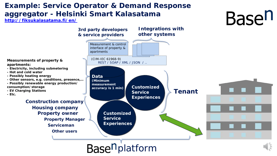## **Example: Service Operator & Demand Response aggregator - Helsinki Smart Kalasatama**

#### **<http://fiksukalasatama.fi/en/>**